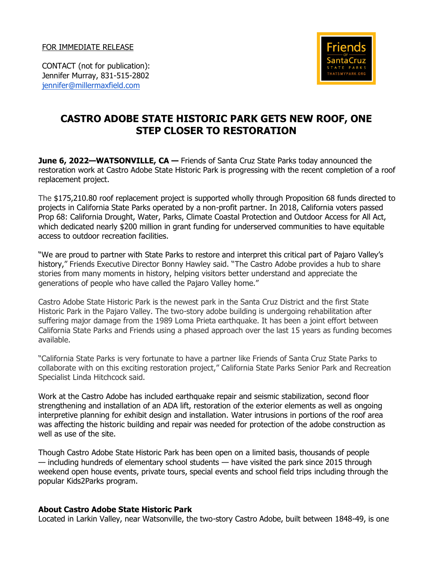FOR IMMEDIATE RELEASE



CONTACT (not for publication): Jennifer Murray, 831-515-2802 [jennifer@millermaxfield.com](mailto:jennifer@millermaxfield.com)

## **CASTRO ADOBE STATE HISTORIC PARK GETS NEW ROOF, ONE STEP CLOSER TO RESTORATION**

**June 6, 2022—WATSONVILLE, CA —** Friends of Santa Cruz State Parks today announced the restoration work at Castro Adobe State Historic Park is progressing with the recent completion of a roof replacement project.

The \$175,210.80 roof replacement project is supported wholly through Proposition 68 funds directed to projects in California State Parks operated by a non-profit partner. In 2018, California voters passed Prop 68: California Drought, Water, Parks, Climate Coastal Protection and Outdoor Access for All Act, which dedicated nearly \$200 million in grant funding for underserved communities to have equitable access to outdoor recreation facilities.

"We are proud to partner with State Parks to restore and interpret this critical part of Pajaro Valley's history," Friends Executive Director Bonny Hawley said. "The Castro Adobe provides a hub to share stories from many moments in history, helping visitors better understand and appreciate the generations of people who have called the Pajaro Valley home."

Castro Adobe State Historic Park is the newest park in the Santa Cruz District and the first State Historic Park in the Pajaro Valley. The two-story adobe building is undergoing rehabilitation after suffering major damage from the 1989 Loma Prieta earthquake. It has been a joint effort between California State Parks and Friends using a phased approach over the last 15 years as funding becomes available.

"California State Parks is very fortunate to have a partner like Friends of Santa Cruz State Parks to collaborate with on this exciting restoration project," California State Parks Senior Park and Recreation Specialist Linda Hitchcock said.

Work at the Castro Adobe has included earthquake repair and seismic stabilization, second floor strengthening and installation of an ADA lift, restoration of the exterior elements as well as ongoing interpretive planning for exhibit design and installation. Water intrusions in portions of the roof area was affecting the historic building and repair was needed for protection of the adobe construction as well as use of the site.

Though Castro Adobe State Historic Park has been open on a limited basis, thousands of people — including hundreds of elementary school students — have visited the park since 2015 through weekend open house events, private tours, special events and school field trips including through the popular Kids2Parks program.

## **About Castro Adobe State Historic Park**

Located in Larkin Valley, near Watsonville, the two-story Castro Adobe, built between 1848-49, is one